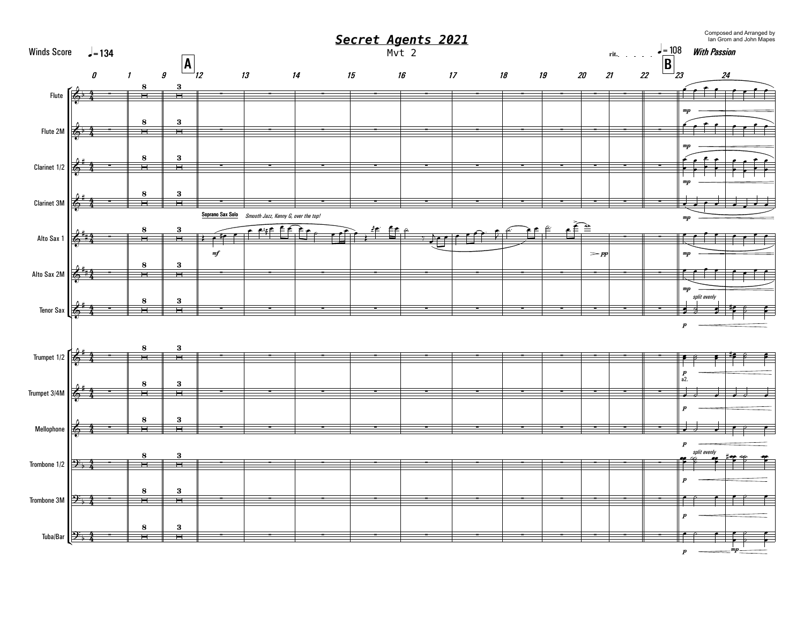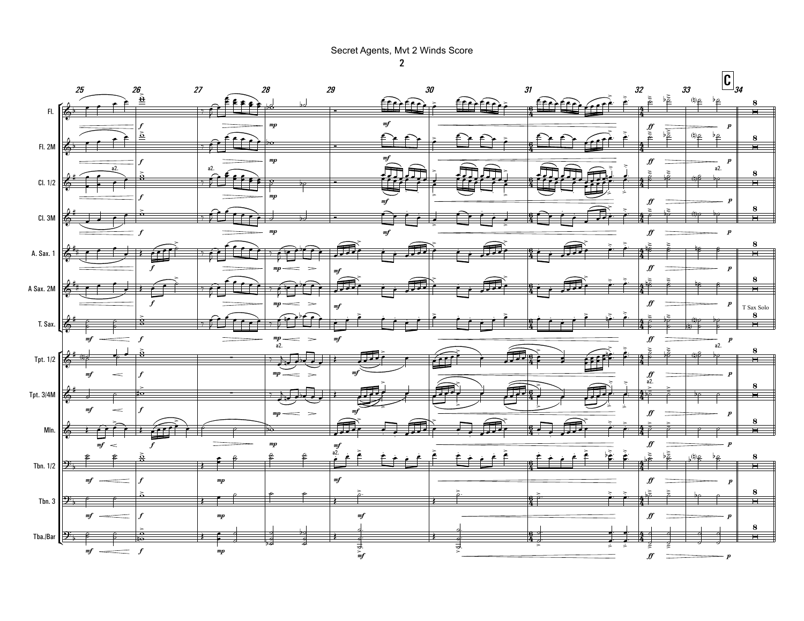